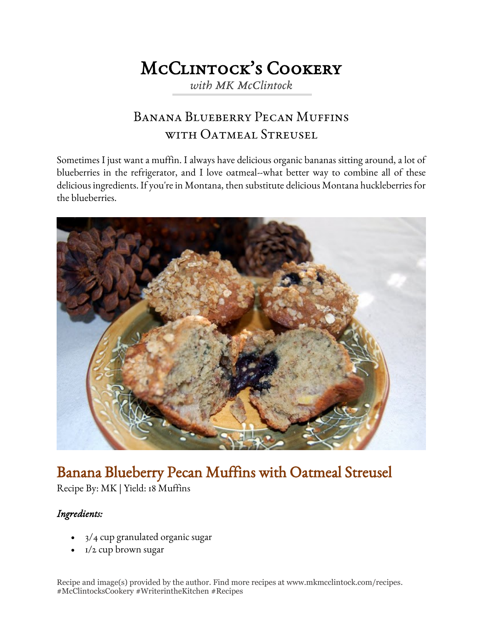## McClintock's Cookery *with MK McClintock*

## Banana Blueberry Pecan Muffins WITH OATMEAL STREUSEL

Sometimes I just want a muffin. I always have delicious organic bananas sitting around, a lot of blueberries in the refrigerator, and I love oatmeal--what better way to combine all of these delicious ingredients. If you're in Montana, then substitute delicious Montana huckleberries for the blueberries.



# Banana Blueberry Pecan Muffins with Oatmeal Streusel

Recipe By: MK | Yield: 18 Muffins

#### *Ingredients:*

- 3/4 cup granulated organic sugar
- $\bullet$   $I/2$  cup brown sugar

Recipe and image(s) provided by the author. Find more recipes at www.mkmcclintock.com/recipes. #McClintocksCookery #WriterintheKitchen #Recipes